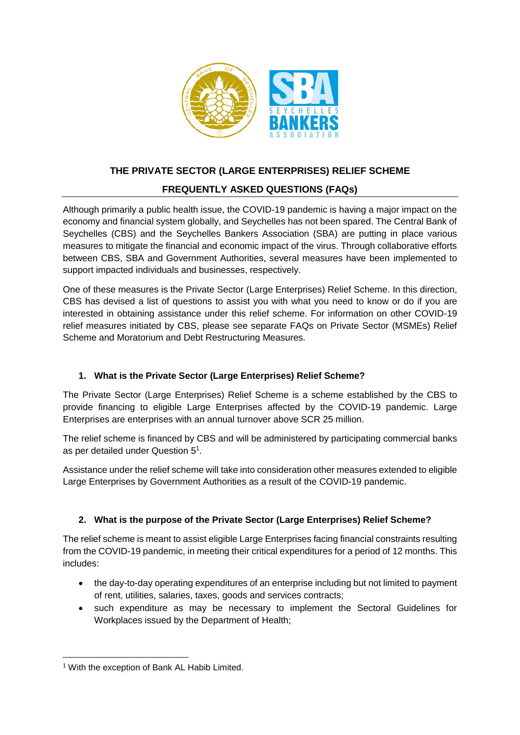

# **THE PRIVATE SECTOR (LARGE ENTERPRISES) RELIEF SCHEME**

## **FREQUENTLY ASKED QUESTIONS (FAQs)**

Although primarily a public health issue, the COVID-19 pandemic is having a major impact on the economy and financial system globally, and Seychelles has not been spared. The Central Bank of Seychelles (CBS) and the Seychelles Bankers Association (SBA) are putting in place various measures to mitigate the financial and economic impact of the virus. Through collaborative efforts between CBS, SBA and Government Authorities, several measures have been implemented to support impacted individuals and businesses, respectively.

One of these measures is the Private Sector (Large Enterprises) Relief Scheme. In this direction, CBS has devised a list of questions to assist you with what you need to know or do if you are interested in obtaining assistance under this relief scheme. For information on other COVID-19 relief measures initiated by CBS, please see separate FAQs on Private Sector (MSMEs) Relief Scheme and Moratorium and Debt Restructuring Measures.

## **1. What is the Private Sector (Large Enterprises) Relief Scheme?**

The Private Sector (Large Enterprises) Relief Scheme is a scheme established by the CBS to provide financing to eligible Large Enterprises affected by the COVID-19 pandemic. Large Enterprises are enterprises with an annual turnover above SCR 25 million.

The relief scheme is financed by CBS and will be administered by participating commercial banks as per detailed under Question  $5^1$ .

Assistance under the relief scheme will take into consideration other measures extended to eligible Large Enterprises by Government Authorities as a result of the COVID-19 pandemic.

## **2. What is the purpose of the Private Sector (Large Enterprises) Relief Scheme?**

The relief scheme is meant to assist eligible Large Enterprises facing financial constraints resulting from the COVID-19 pandemic, in meeting their critical expenditures for a period of 12 months. This includes:

- the day-to-day operating expenditures of an enterprise including but not limited to payment of rent, utilities, salaries, taxes, goods and services contracts;
- such expenditure as may be necessary to implement the Sectoral Guidelines for Workplaces issued by the Department of Health;

**<sup>.</sup>** <sup>1</sup> With the exception of Bank AL Habib Limited.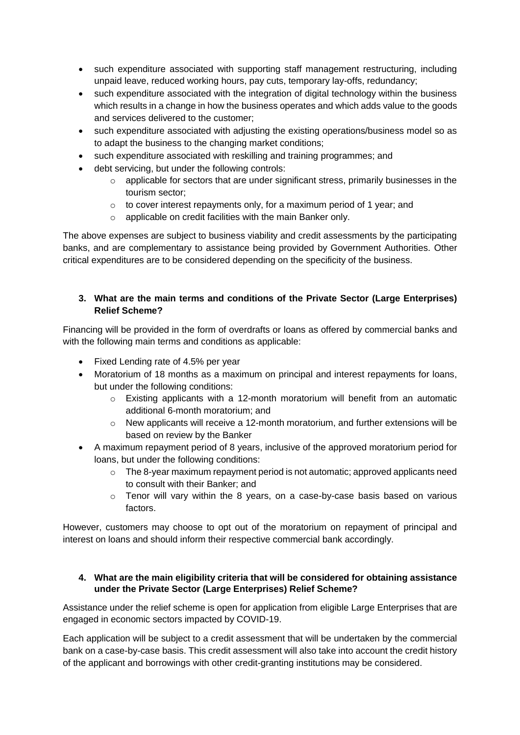- such expenditure associated with supporting staff management restructuring, including unpaid leave, reduced working hours, pay cuts, temporary lay-offs, redundancy;
- such expenditure associated with the integration of digital technology within the business which results in a change in how the business operates and which adds value to the goods and services delivered to the customer;
- such expenditure associated with adjusting the existing operations/business model so as to adapt the business to the changing market conditions;
- such expenditure associated with reskilling and training programmes; and
- debt servicing, but under the following controls:
	- $\circ$  applicable for sectors that are under significant stress, primarily businesses in the tourism sector;
	- o to cover interest repayments only, for a maximum period of 1 year; and
	- o applicable on credit facilities with the main Banker only.

The above expenses are subject to business viability and credit assessments by the participating banks, and are complementary to assistance being provided by Government Authorities. Other critical expenditures are to be considered depending on the specificity of the business.

#### **3. What are the main terms and conditions of the Private Sector (Large Enterprises) Relief Scheme?**

Financing will be provided in the form of overdrafts or loans as offered by commercial banks and with the following main terms and conditions as applicable:

- Fixed Lending rate of 4.5% per year
- Moratorium of 18 months as a maximum on principal and interest repayments for loans, but under the following conditions:
	- o Existing applicants with a 12-month moratorium will benefit from an automatic additional 6-month moratorium; and
	- $\circ$  New applicants will receive a 12-month moratorium, and further extensions will be based on review by the Banker
- A maximum repayment period of 8 years, inclusive of the approved moratorium period for loans, but under the following conditions:
	- o The 8-year maximum repayment period is not automatic; approved applicants need to consult with their Banker; and
	- $\circ$  Tenor will vary within the 8 years, on a case-by-case basis based on various factors.

However, customers may choose to opt out of the moratorium on repayment of principal and interest on loans and should inform their respective commercial bank accordingly.

#### **4. What are the main eligibility criteria that will be considered for obtaining assistance under the Private Sector (Large Enterprises) Relief Scheme?**

Assistance under the relief scheme is open for application from eligible Large Enterprises that are engaged in economic sectors impacted by COVID-19.

Each application will be subject to a credit assessment that will be undertaken by the commercial bank on a case-by-case basis. This credit assessment will also take into account the credit history of the applicant and borrowings with other credit-granting institutions may be considered.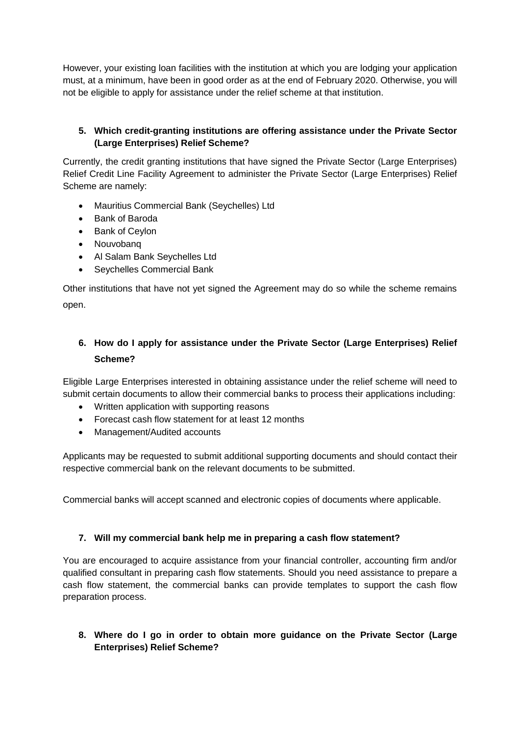However, your existing loan facilities with the institution at which you are lodging your application must, at a minimum, have been in good order as at the end of February 2020. Otherwise, you will not be eligible to apply for assistance under the relief scheme at that institution.

## **5. Which credit-granting institutions are offering assistance under the Private Sector (Large Enterprises) Relief Scheme?**

Currently, the credit granting institutions that have signed the Private Sector (Large Enterprises) Relief Credit Line Facility Agreement to administer the Private Sector (Large Enterprises) Relief Scheme are namely:

- Mauritius Commercial Bank (Seychelles) Ltd
- Bank of Baroda
- Bank of Ceylon
- Nouvobanq
- Al Salam Bank Seychelles Ltd
- Seychelles Commercial Bank

Other institutions that have not yet signed the Agreement may do so while the scheme remains open.

# **6. How do I apply for assistance under the Private Sector (Large Enterprises) Relief Scheme?**

Eligible Large Enterprises interested in obtaining assistance under the relief scheme will need to submit certain documents to allow their commercial banks to process their applications including:

- Written application with supporting reasons
- Forecast cash flow statement for at least 12 months
- Management/Audited accounts

Applicants may be requested to submit additional supporting documents and should contact their respective commercial bank on the relevant documents to be submitted.

Commercial banks will accept scanned and electronic copies of documents where applicable.

#### **7. Will my commercial bank help me in preparing a cash flow statement?**

You are encouraged to acquire assistance from your financial controller, accounting firm and/or qualified consultant in preparing cash flow statements. Should you need assistance to prepare a cash flow statement, the commercial banks can provide templates to support the cash flow preparation process.

## **8. Where do I go in order to obtain more guidance on the Private Sector (Large Enterprises) Relief Scheme?**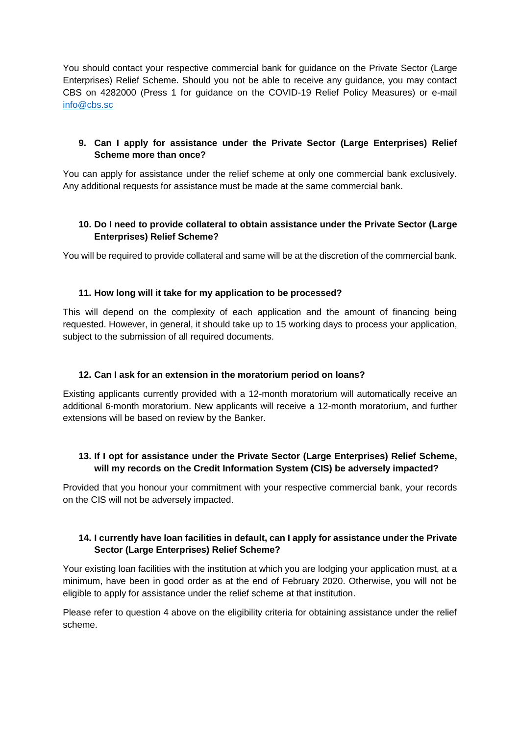You should contact your respective commercial bank for guidance on the Private Sector (Large Enterprises) Relief Scheme. Should you not be able to receive any guidance, you may contact CBS on 4282000 (Press 1 for guidance on the COVID-19 Relief Policy Measures) or e-mail [info@cbs.sc](mailto:info@cbs.sc)

## **9. Can I apply for assistance under the Private Sector (Large Enterprises) Relief Scheme more than once?**

You can apply for assistance under the relief scheme at only one commercial bank exclusively. Any additional requests for assistance must be made at the same commercial bank.

## **10. Do I need to provide collateral to obtain assistance under the Private Sector (Large Enterprises) Relief Scheme?**

You will be required to provide collateral and same will be at the discretion of the commercial bank.

#### **11. How long will it take for my application to be processed?**

This will depend on the complexity of each application and the amount of financing being requested. However, in general, it should take up to 15 working days to process your application, subject to the submission of all required documents.

#### **12. Can I ask for an extension in the moratorium period on loans?**

Existing applicants currently provided with a 12-month moratorium will automatically receive an additional 6-month moratorium. New applicants will receive a 12-month moratorium, and further extensions will be based on review by the Banker.

## **13. If I opt for assistance under the Private Sector (Large Enterprises) Relief Scheme, will my records on the Credit Information System (CIS) be adversely impacted?**

Provided that you honour your commitment with your respective commercial bank, your records on the CIS will not be adversely impacted.

#### **14. I currently have loan facilities in default, can I apply for assistance under the Private Sector (Large Enterprises) Relief Scheme?**

Your existing loan facilities with the institution at which you are lodging your application must, at a minimum, have been in good order as at the end of February 2020. Otherwise, you will not be eligible to apply for assistance under the relief scheme at that institution.

Please refer to question 4 above on the eligibility criteria for obtaining assistance under the relief scheme.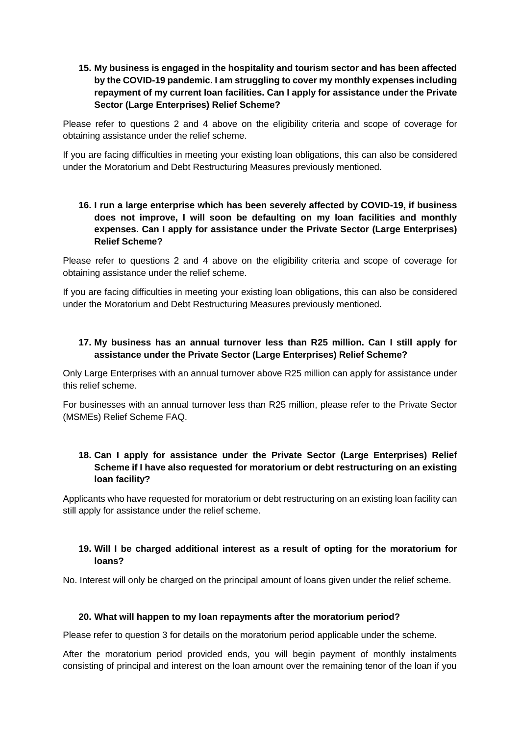### **15. My business is engaged in the hospitality and tourism sector and has been affected by the COVID-19 pandemic. I am struggling to cover my monthly expenses including repayment of my current loan facilities. Can I apply for assistance under the Private Sector (Large Enterprises) Relief Scheme?**

Please refer to questions 2 and 4 above on the eligibility criteria and scope of coverage for obtaining assistance under the relief scheme.

If you are facing difficulties in meeting your existing loan obligations, this can also be considered under the Moratorium and Debt Restructuring Measures previously mentioned.

### **16. I run a large enterprise which has been severely affected by COVID-19, if business does not improve, I will soon be defaulting on my loan facilities and monthly expenses. Can I apply for assistance under the Private Sector (Large Enterprises) Relief Scheme?**

Please refer to questions 2 and 4 above on the eligibility criteria and scope of coverage for obtaining assistance under the relief scheme.

If you are facing difficulties in meeting your existing loan obligations, this can also be considered under the Moratorium and Debt Restructuring Measures previously mentioned.

## **17. My business has an annual turnover less than R25 million. Can I still apply for assistance under the Private Sector (Large Enterprises) Relief Scheme?**

Only Large Enterprises with an annual turnover above R25 million can apply for assistance under this relief scheme.

For businesses with an annual turnover less than R25 million, please refer to the Private Sector (MSMEs) Relief Scheme FAQ.

### **18. Can I apply for assistance under the Private Sector (Large Enterprises) Relief Scheme if I have also requested for moratorium or debt restructuring on an existing loan facility?**

Applicants who have requested for moratorium or debt restructuring on an existing loan facility can still apply for assistance under the relief scheme.

#### **19. Will I be charged additional interest as a result of opting for the moratorium for loans?**

No. Interest will only be charged on the principal amount of loans given under the relief scheme.

#### **20. What will happen to my loan repayments after the moratorium period?**

Please refer to question 3 for details on the moratorium period applicable under the scheme.

After the moratorium period provided ends, you will begin payment of monthly instalments consisting of principal and interest on the loan amount over the remaining tenor of the loan if you